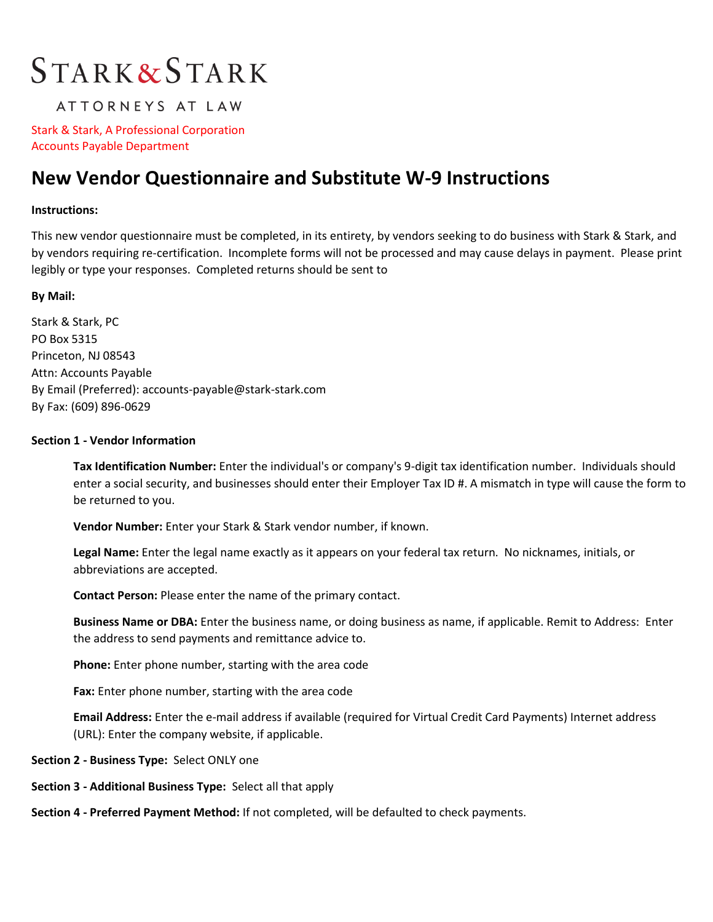# **STARK&STARK**

### ATTORNEYS AT LAW

Stark & Stark, A Professional Corporation Accounts Payable Department

## **New Vendor Questionnaire and Substitute W-9 Instructions**

#### **Instructions:**

This new vendor questionnaire must be completed, in its entirety, by vendors seeking to do business with Stark & Stark, and by vendors requiring re-certification. Incomplete forms will not be processed and may cause delays in payment. Please print legibly or type your responses. Completed returns should be sent to

#### **By Mail:**

Stark & Stark, PC PO Box 5315 Princeton, NJ 08543 Attn: Accounts Payable By Email (Preferred): accounts-payable@stark-stark.com By Fax: (609) 896-0629

#### **Section 1 - Vendor Information**

**Tax Identification Number:** Enter the individual's or company's 9-digit tax identification number. Individuals should enter a social security, and businesses should enter their Employer Tax ID #. A mismatch in type will cause the form to be returned to you.

**Vendor Number:** Enter your Stark & Stark vendor number, if known.

**Legal Name:** Enter the legal name exactly as it appears on your federal tax return. No nicknames, initials, or abbreviations are accepted.

**Contact Person:** Please enter the name of the primary contact.

**Business Name or DBA:** Enter the business name, or doing business as name, if applicable. Remit to Address: Enter the address to send payments and remittance advice to.

**Phone:** Enter phone number, starting with the area code

**Fax:** Enter phone number, starting with the area code

**Email Address:** Enter the e-mail address if available (required for Virtual Credit Card Payments) Internet address (URL): Enter the company website, if applicable.

**Section 2 - Business Type:** Select ONLY one

**Section 3 - Additional Business Type:** Select all that apply

**Section 4 - Preferred Payment Method:** If not completed, will be defaulted to check payments.